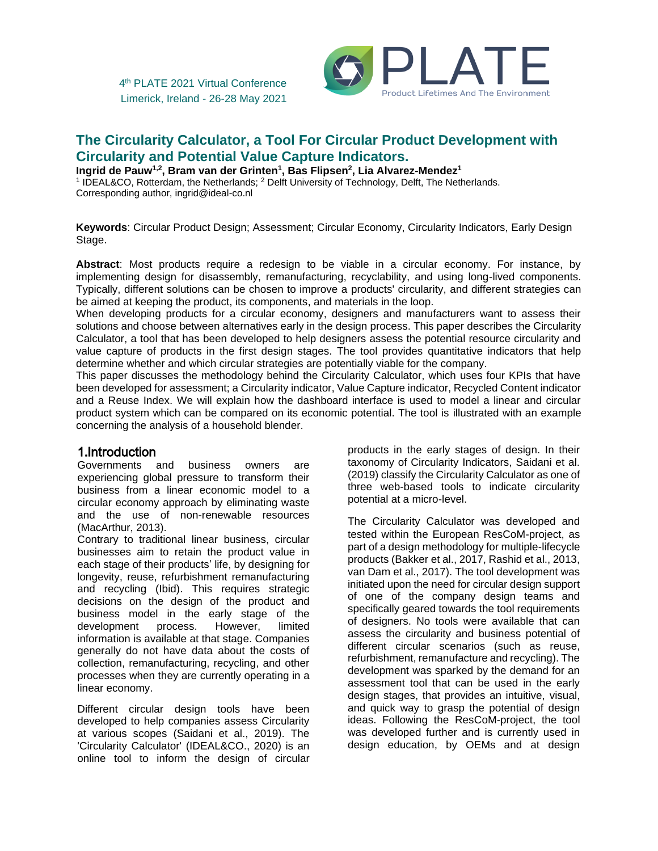

# **The Circularity Calculator, a Tool For Circular Product Development with Circularity and Potential Value Capture Indicators.**

**Ingrid de Pauw1,2, Bram van der Grinten<sup>1</sup> , Bas Flipsen<sup>2</sup> , Lia Alvarez-Mendez<sup>1</sup>**

<sup>1</sup> IDEAL&CO, Rotterdam, the Netherlands; <sup>2</sup> Delft University of Technology, Delft, The Netherlands. Corresponding author, ingrid@ideal-co.nl

**Keywords**: Circular Product Design; Assessment; Circular Economy, Circularity Indicators, Early Design Stage.

**Abstract**: Most products require a redesign to be viable in a circular economy. For instance, by implementing design for disassembly, remanufacturing, recyclability, and using long-lived components. Typically, different solutions can be chosen to improve a products' circularity, and different strategies can be aimed at keeping the product, its components, and materials in the loop.

When developing products for a circular economy, designers and manufacturers want to assess their solutions and choose between alternatives early in the design process. This paper describes the Circularity Calculator, a tool that has been developed to help designers assess the potential resource circularity and value capture of products in the first design stages. The tool provides quantitative indicators that help determine whether and which circular strategies are potentially viable for the company.

This paper discusses the methodology behind the Circularity Calculator, which uses four KPIs that have been developed for assessment; a Circularity indicator, Value Capture indicator, Recycled Content indicator and a Reuse Index. We will explain how the dashboard interface is used to model a linear and circular product system which can be compared on its economic potential. The tool is illustrated with an example concerning the analysis of a household blender.

# 1.Introduction

Governments and business owners are experiencing global pressure to transform their business from a linear economic model to a circular economy approach by eliminating waste and the use of non-renewable resources (MacArthur, 2013).

Contrary to traditional linear business, circular businesses aim to retain the product value in each stage of their products' life, by designing for longevity, reuse, refurbishment remanufacturing and recycling (Ibid). This requires strategic decisions on the design of the product and business model in the early stage of the development process. However, limited information is available at that stage. Companies generally do not have data about the costs of collection, remanufacturing, recycling, and other processes when they are currently operating in a linear economy.

Different circular design tools have been developed to help companies assess Circularity at various scopes (Saidani et al., 2019). The 'Circularity Calculator' (IDEAL&CO., 2020) is an online tool to inform the design of circular

products in the early stages of design. In their taxonomy of Circularity Indicators, Saidani et al. (2019) classify the Circularity Calculator as one of three web-based tools to indicate circularity potential at a micro-level.

The Circularity Calculator was developed and tested within the European ResCoM-project, as part of a design methodology for multiple-lifecycle products (Bakker et al., 2017, Rashid et al., 2013, van Dam et al., 2017). The tool development was initiated upon the need for circular design support of one of the company design teams and specifically geared towards the tool requirements of designers. No tools were available that can assess the circularity and business potential of different circular scenarios (such as reuse, refurbishment, remanufacture and recycling). The development was sparked by the demand for an assessment tool that can be used in the early design stages, that provides an intuitive, visual, and quick way to grasp the potential of design ideas. Following the ResCoM-project, the tool was developed further and is currently used in design education, by OEMs and at design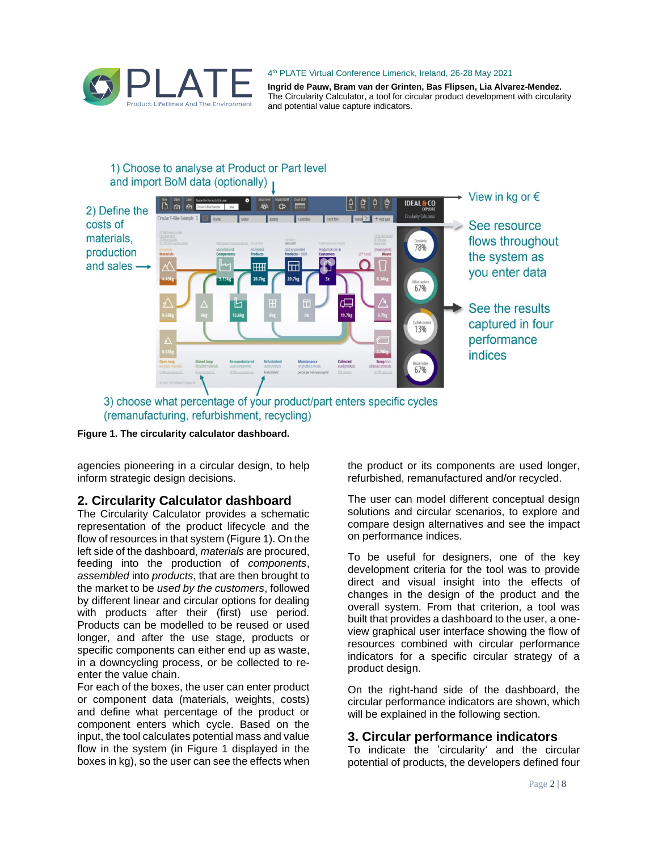

**Ingrid de Pauw, Bram van der Grinten, Bas Flipsen, Lia Alvarez-Mendez.** The Circularity Calculator, a tool for circular product development with circularity and potential value capture indicators.

## 1) Choose to analyse at Product or Part level and import BoM data (optionally)



(remanufacturing, refurbishment, recycling)



agencies pioneering in a circular design, to help inform strategic design decisions.

### **2. Circularity Calculator dashboard**

The Circularity Calculator provides a schematic representation of the product lifecycle and the flow of resources in that system (Figure 1). On the left side of the dashboard, *materials* are procured, feeding into the production of *components*, *assembled* into *products*, that are then brought to the market to be *used by the customers*, followed by different linear and circular options for dealing with products after their (first) use period. Products can be modelled to be reused or used longer, and after the use stage, products or specific components can either end up as waste, in a downcycling process, or be collected to reenter the value chain.

For each of the boxes, the user can enter product or component data (materials, weights, costs) and define what percentage of the product or component enters which cycle. Based on the input, the tool calculates potential mass and value flow in the system (in Figure 1 displayed in the boxes in kg), so the user can see the effects when

the product or its components are used longer, refurbished, remanufactured and/or recycled.

The user can model different conceptual design solutions and circular scenarios, to explore and compare design alternatives and see the impact on performance indices.

To be useful for designers, one of the key development criteria for the tool was to provide direct and visual insight into the effects of changes in the design of the product and the overall system. From that criterion, a tool was built that provides a dashboard to the user, a oneview graphical user interface showing the flow of resources combined with circular performance indicators for a specific circular strategy of a product design.

On the right-hand side of the dashboard, the circular performance indicators are shown, which will be explained in the following section.

# **3. Circular performance indicators**

To indicate the 'circularity' and the circular potential of products, the developers defined four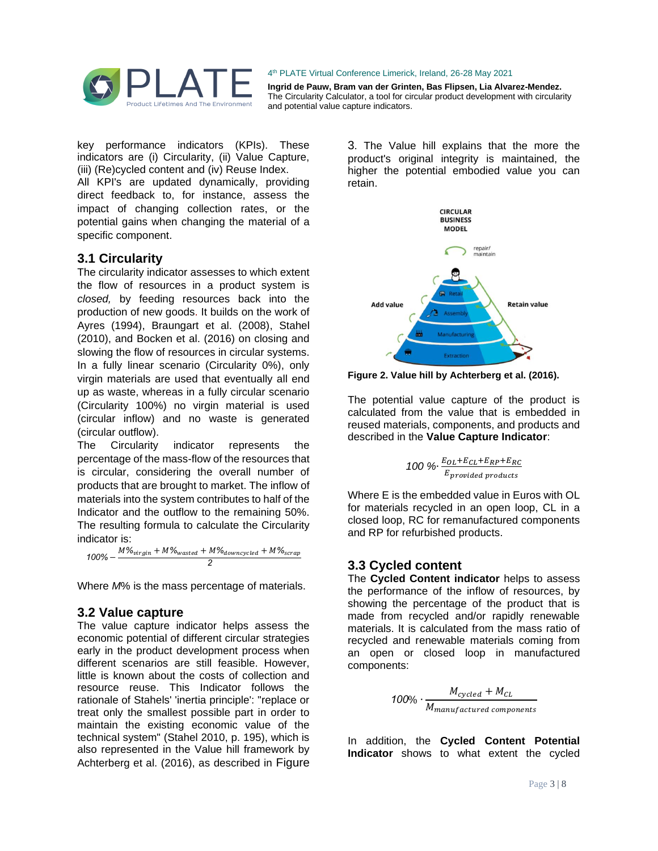

**Ingrid de Pauw, Bram van der Grinten, Bas Flipsen, Lia Alvarez-Mendez.** The Circularity Calculator, a tool for circular product development with circularity and potential value capture indicators.

key performance indicators (KPIs). These indicators are (i) Circularity, (ii) Value Capture, (iii) (Re)cycled content and (iv) Reuse Index.

All KPI's are updated dynamically, providing direct feedback to, for instance, assess the impact of changing collection rates, or the potential gains when changing the material of a specific component.

### **3.1 Circularity**

The circularity indicator assesses to which extent the flow of resources in a product system is *closed,* by feeding resources back into the production of new goods. It builds on the work of Ayres (1994), Braungart et al. (2008), Stahel (2010), and Bocken et al. (2016) on closing and slowing the flow of resources in circular systems. In a fully linear scenario (Circularity 0%), only virgin materials are used that eventually all end up as waste, whereas in a fully circular scenario (Circularity 100%) no virgin material is used (circular inflow) and no waste is generated (circular outflow).

The Circularity indicator represents the percentage of the mass-flow of the resources that is circular, considering the overall number of products that are brought to market. The inflow of materials into the system contributes to half of the Indicator and the outflow to the remaining 50%. The resulting formula to calculate the Circularity indicator is:

 $100\% - \frac{M\%_{virgin} + M\%_{wasted} + M\%_{downcycle}}{2} + M\%_{scrap}$ *2*

Where *M*% is the mass percentage of materials.

### **3.2 Value capture**

The value capture indicator helps assess the economic potential of different circular strategies early in the product development process when different scenarios are still feasible. However, little is known about the costs of collection and resource reuse. This Indicator follows the rationale of Stahels' 'inertia principle': "replace or treat only the smallest possible part in order to maintain the existing economic value of the technical system" (Stahel 2010, p. 195), which is also represented in the Value hill framework by Achterberg et al. (2016), as described in Figure

3. The Value hill explains that the more the product's original integrity is maintained, the higher the potential embodied value you can retain.



**Figure 2. Value hill by Achterberg et al. (2016).**

The potential value capture of the product is calculated from the value that is embedded in reused materials, components, and products and described in the **Value Capture Indicator**:

100 % 
$$
\frac{E_{OL}+E_{CL}+E_{RP}+E_{RC}}{E_{provided\ products}}
$$

Where E is the embedded value in Euros with OL for materials recycled in an open loop, CL in a closed loop, RC for remanufactured components and RP for refurbished products.

# **3.3 Cycled content**

The **Cycled Content indicator** helps to assess the performance of the inflow of resources, by showing the percentage of the product that is made from recycled and/or rapidly renewable materials. It is calculated from the mass ratio of recycled and renewable materials coming from an open or closed loop in manufactured components:

$$
100\% \cdot \frac{M_{cycled} + M_{CL}}{M_{manufactured\ components}}
$$

In addition, the **Cycled Content Potential Indicator** shows to what extent the cycled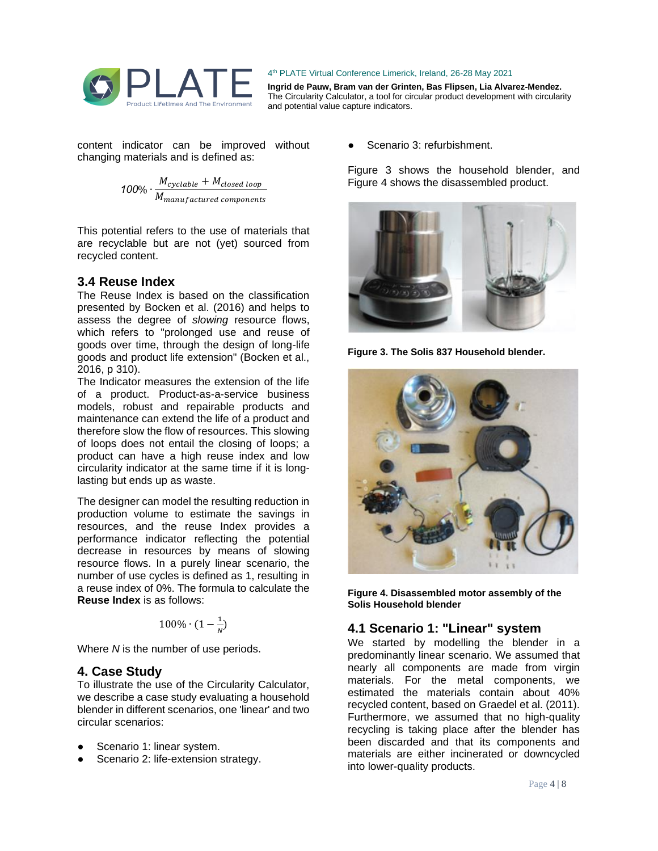

**Ingrid de Pauw, Bram van der Grinten, Bas Flipsen, Lia Alvarez-Mendez.** The Circularity Calculator, a tool for circular product development with circularity and potential value capture indicators.

content indicator can be improved without changing materials and is defined as:

> $100\% \cdot \frac{M_{\text{cyclic}} + M_{\text{closed loop}}}{M}$  $M_{manufactured\ components}$

This potential refers to the use of materials that are recyclable but are not (yet) sourced from recycled content.

### **3.4 Reuse Index**

The Reuse Index is based on the classification presented by Bocken et al. (2016) and helps to assess the degree of *slowing* resource flows, which refers to "prolonged use and reuse of goods over time, through the design of long-life goods and product life extension" (Bocken et al., 2016, p 310).

The Indicator measures the extension of the life of a product. Product-as-a-service business models, robust and repairable products and maintenance can extend the life of a product and therefore slow the flow of resources. This slowing of loops does not entail the closing of loops; a product can have a high reuse index and low circularity indicator at the same time if it is longlasting but ends up as waste.

The designer can model the resulting reduction in production volume to estimate the savings in resources, and the reuse Index provides a performance indicator reflecting the potential decrease in resources by means of slowing resource flows. In a purely linear scenario, the number of use cycles is defined as 1, resulting in a reuse index of 0%. The formula to calculate the **Reuse Index** is as follows:

$$
100\% \cdot (1 - \frac{1}{N})
$$

Where *N* is the number of use periods.

#### **4. Case Study**

To illustrate the use of the Circularity Calculator, we describe a case study evaluating a household blender in different scenarios, one 'linear' and two circular scenarios:

- Scenario 1: linear system.
- Scenario 2: life-extension strategy.

Scenario 3: refurbishment.

Figure 3 shows the household blender, and Figure 4 shows the disassembled product.



**Figure 3. The Solis 837 Household blender.**



**Figure 4. Disassembled motor assembly of the Solis Household blender**

# **4.1 Scenario 1: "Linear" system**

We started by modelling the blender in a predominantly linear scenario. We assumed that nearly all components are made from virgin materials. For the metal components, we estimated the materials contain about 40% recycled content, based on Graedel et al. (2011). Furthermore, we assumed that no high-quality recycling is taking place after the blender has been discarded and that its components and materials are either incinerated or downcycled into lower-quality products.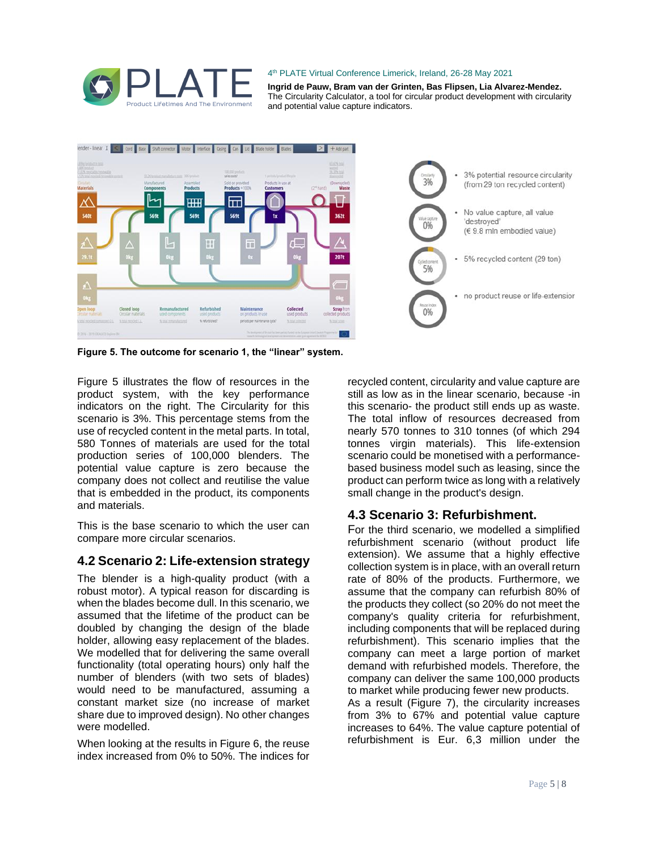

**Ingrid de Pauw, Bram van der Grinten, Bas Flipsen, Lia Alvarez-Mendez.** The Circularity Calculator, a tool for circular product development with circularity and potential value capture indicators.



**Figure 5. The outcome for scenario 1, the "linear" system.** 

Figure 5 illustrates the flow of resources in the product system, with the key performance indicators on the right. The Circularity for this scenario is 3%. This percentage stems from the use of recycled content in the metal parts. In total, 580 Tonnes of materials are used for the total production series of 100,000 blenders. The potential value capture is zero because the company does not collect and reutilise the value that is embedded in the product, its components and materials.

This is the base scenario to which the user can compare more circular scenarios.

# **4.2 Scenario 2: Life-extension strategy**

The blender is a high-quality product (with a robust motor). A typical reason for discarding is when the blades become dull. In this scenario, we assumed that the lifetime of the product can be doubled by changing the design of the blade holder, allowing easy replacement of the blades. We modelled that for delivering the same overall functionality (total operating hours) only half the number of blenders (with two sets of blades) would need to be manufactured, assuming a constant market size (no increase of market share due to improved design). No other changes were modelled.

When looking at the results in Figure 6, the reuse index increased from 0% to 50%. The indices for

recycled content, circularity and value capture are still as low as in the linear scenario, because -in this scenario- the product still ends up as waste. The total inflow of resources decreased from nearly 570 tonnes to 310 tonnes (of which 294 tonnes virgin materials). This life-extension scenario could be monetised with a performancebased business model such as leasing, since the product can perform twice as long with a relatively small change in the product's design.

# **4.3 Scenario 3: Refurbishment.**

For the third scenario, we modelled a simplified refurbishment scenario (without product life extension). We assume that a highly effective collection system is in place, with an overall return rate of 80% of the products. Furthermore, we assume that the company can refurbish 80% of the products they collect (so 20% do not meet the company's quality criteria for refurbishment, including components that will be replaced during refurbishment). This scenario implies that the company can meet a large portion of market demand with refurbished models. Therefore, the company can deliver the same 100,000 products to market while producing fewer new products.

As a result (Figure 7), the circularity increases from 3% to 67% and potential value capture increases to 64%. The value capture potential of refurbishment is Eur. 6,3 million under the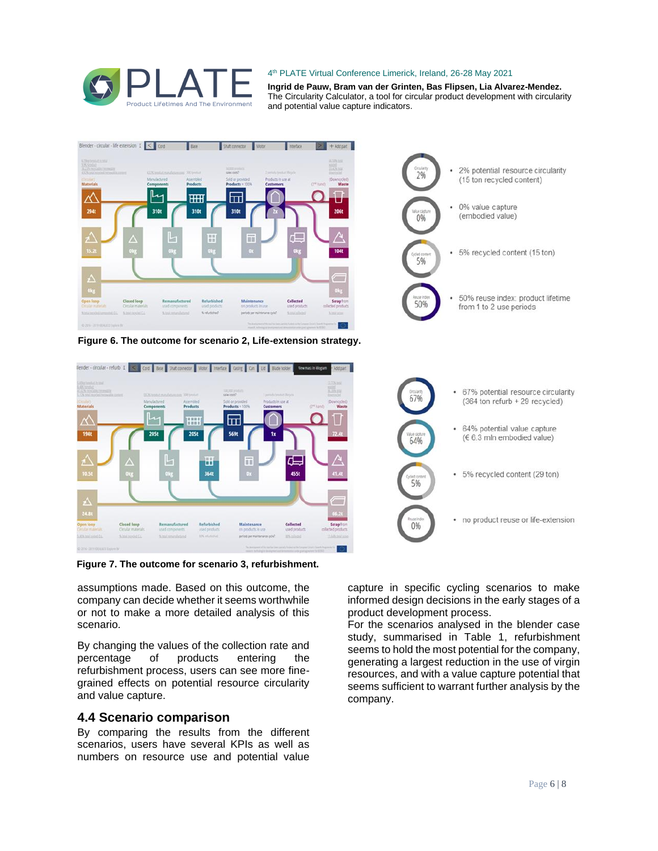

**Ingrid de Pauw, Bram van der Grinten, Bas Flipsen, Lia Alvarez-Mendez.** The Circularity Calculator, a tool for circular product development with circularity and potential value capture indicators.



**Figure 7. The outcome for scenario 3, refurbishment.**

assumptions made. Based on this outcome, the company can decide whether it seems worthwhile or not to make a more detailed analysis of this scenario.

By changing the values of the collection rate and percentage of products entering the refurbishment process, users can see more finegrained effects on potential resource circularity and value capture.

### **4.4 Scenario comparison**

By comparing the results from the different scenarios, users have several KPIs as well as numbers on resource use and potential value

capture in specific cycling scenarios to make informed design decisions in the early stages of a product development process.

For the scenarios analysed in the blender case study, summarised in Table 1, refurbishment seems to hold the most potential for the company, generating a largest reduction in the use of virgin resources, and with a value capture potential that seems sufficient to warrant further analysis by the company.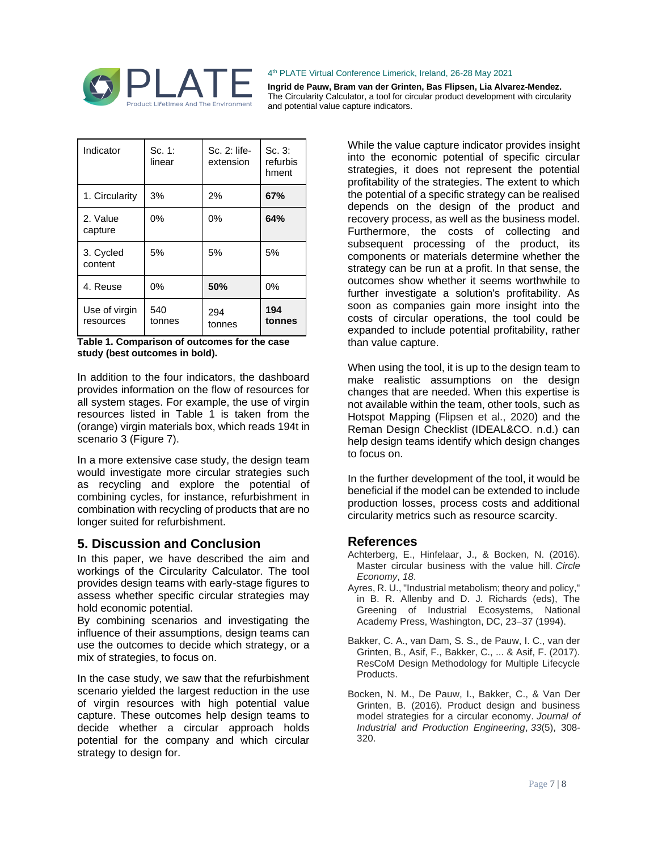

**Ingrid de Pauw, Bram van der Grinten, Bas Flipsen, Lia Alvarez-Mendez.** The Circularity Calculator, a tool for circular product development with circularity and potential value capture indicators.

| Indicator                  | Sc. 1:<br>linear | Sc. 2: life-<br>extension | Sc.3:<br>refurbis<br>hment |
|----------------------------|------------------|---------------------------|----------------------------|
| 1. Circularity             | 3%               | 2%                        | 67%                        |
| 2. Value<br>capture        | $0\%$            | 0%                        | 64%                        |
| 3. Cycled<br>content       | 5%               | 5%                        | 5%                         |
| 4. Reuse                   | 0%               | 50%                       | 0%                         |
| Use of virgin<br>resources | 540<br>tonnes    | 294<br>tonnes             | 194<br>tonnes              |

**Table 1. Comparison of outcomes for the case study (best outcomes in bold).**

In addition to the four indicators, the dashboard provides information on the flow of resources for all system stages. For example, the use of virgin resources listed in Table 1 is taken from the (orange) virgin materials box, which reads 194t in scenario 3 (Figure 7).

In a more extensive case study, the design team would investigate more circular strategies such as recycling and explore the potential of combining cycles, for instance, refurbishment in combination with recycling of products that are no longer suited for refurbishment.

### **5. Discussion and Conclusion**

In this paper, we have described the aim and workings of the Circularity Calculator. The tool provides design teams with early-stage figures to assess whether specific circular strategies may hold economic potential.

By combining scenarios and investigating the influence of their assumptions, design teams can use the outcomes to decide which strategy, or a mix of strategies, to focus on.

In the case study, we saw that the refurbishment scenario yielded the largest reduction in the use of virgin resources with high potential value capture. These outcomes help design teams to decide whether a circular approach holds potential for the company and which circular strategy to design for.

While the value capture indicator provides insight into the economic potential of specific circular strategies, it does not represent the potential profitability of the strategies. The extent to which the potential of a specific strategy can be realised depends on the design of the product and recovery process, as well as the business model. Furthermore, the costs of collecting and subsequent processing of the product, its components or materials determine whether the strategy can be run at a profit. In that sense, the outcomes show whether it seems worthwhile to further investigate a solution's profitability. As soon as companies gain more insight into the costs of circular operations, the tool could be expanded to include potential profitability, rather than value capture.

When using the tool, it is up to the design team to make realistic assumptions on the design changes that are needed. When this expertise is not available within the team, other tools, such as Hotspot Mapping (Flipsen et al., 2020) and the Reman Design Checklist (IDEAL&CO. n.d.) can help design teams identify which design changes to focus on.

In the further development of the tool, it would be beneficial if the model can be extended to include production losses, process costs and additional circularity metrics such as resource scarcity.

### **References**

- Achterberg, E., Hinfelaar, J., & Bocken, N. (2016). Master circular business with the value hill. *Circle Economy*, *18*.
- Ayres, R. U., "Industrial metabolism; theory and policy," in B. R. Allenby and D. J. Richards (eds), The Greening of Industrial Ecosystems, National Academy Press, Washington, DC, 23–37 (1994).
- Bakker, C. A., van Dam, S. S., de Pauw, I. C., van der Grinten, B., Asif, F., Bakker, C., ... & Asif, F. (2017). ResCoM Design Methodology for Multiple Lifecycle Products.
- Bocken, N. M., De Pauw, I., Bakker, C., & Van Der Grinten, B. (2016). Product design and business model strategies for a circular economy. *Journal of Industrial and Production Engineering*, *33*(5), 308- 320.